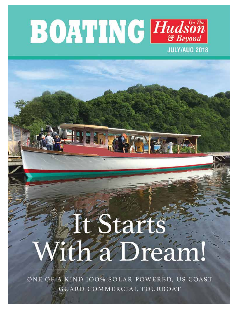

## It Start ith a Dream

ONE OF A KIND IOO% SOLAR-POWERED, US COAST **GUARD COMMERCIAL TOURBOAT** *July - August 2018* <sup>1</sup> boatingonthehudson.com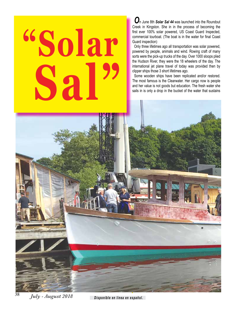## **"Solar Sal"**

*O*n June 8th *Solar Sal 44* was launched into the Roundout Creek in Kingston. She in in the process of becoming the first ever 100% solar powered, US Coast Guard Inspected, commercial tourboat. (The boat is in the water for final Coast Guard inspection)

Only three lifetimes ago all transportation was solar powered, powered by people, animals and wind. Rowing craft of many sorts were the pick-up trucks of the day. Over 1000 sloops plied the Hudson River, they were the 18 wheelers of the day. The international jet plane travel of today was provided then by clipper ships those 3 short lifetimes ago.

Some wooden ships have been replicated and/or restored. The most famous is the Clearwater. Her cargo now is people and her value is not goods but education. The fresh water she sails in is only a drop in the bucket of the water that sustains

*July - August 2018* 

*Disponible en línea en español.*